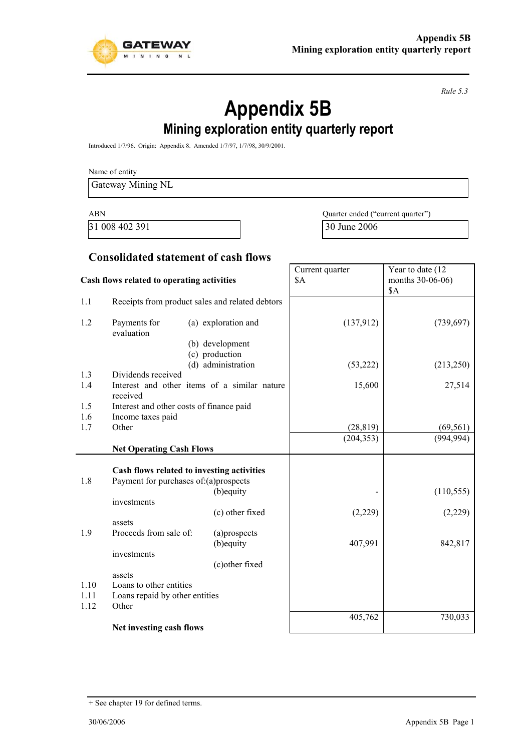

*Rule 5.3* 

# **Appendix 5B**

## **Mining exploration entity quarterly report**

Introduced 1/7/96. Origin: Appendix 8. Amended 1/7/97, 1/7/98, 30/9/2001.

Name of entity

Gateway Mining NL

31 008 402 391 30 June 2006

ABN Quarter ended ("current quarter")

Year to date (12 months 30-06-06)

Current quarter

\$A

#### **Consolidated statement of cash flows**

#### **Cash flows related to operating activities**

|      |                                            |                                                 |            | <b>\$A</b> |
|------|--------------------------------------------|-------------------------------------------------|------------|------------|
| 1.1  |                                            | Receipts from product sales and related debtors |            |            |
| 1.2  | Payments for<br>evaluation                 | (a) exploration and                             | (137,912)  | (739, 697) |
|      |                                            | (b) development<br>(c) production               |            |            |
|      |                                            | (d) administration                              | (53, 222)  | (213,250)  |
| 1.3  | Dividends received                         |                                                 |            |            |
| 1.4  | received                                   | Interest and other items of a similar nature    | 15,600     | 27,514     |
| 1.5  | Interest and other costs of finance paid   |                                                 |            |            |
| 1.6  | Income taxes paid                          |                                                 |            |            |
| 1.7  | Other                                      |                                                 | (28, 819)  | (69, 561)  |
|      |                                            |                                                 | (204, 353) | (994, 994) |
|      | <b>Net Operating Cash Flows</b>            |                                                 |            |            |
|      |                                            |                                                 |            |            |
|      | Cash flows related to investing activities |                                                 |            |            |
| 1.8  | Payment for purchases of: (a) prospects    |                                                 |            |            |
|      |                                            | (b) equity                                      |            | (110, 555) |
|      | investments                                |                                                 |            |            |
|      |                                            | (c) other fixed                                 | (2,229)    | (2,229)    |
|      | assets                                     |                                                 |            |            |
| 1.9  | Proceeds from sale of:                     | (a)prospects                                    |            |            |
|      |                                            | (b) equity                                      | 407,991    | 842,817    |
|      | investments                                |                                                 |            |            |
|      | assets                                     | (c) other fixed                                 |            |            |
| 1.10 | Loans to other entities                    |                                                 |            |            |
| 1.11 | Loans repaid by other entities             |                                                 |            |            |
| 1.12 | Other                                      |                                                 |            |            |
|      |                                            |                                                 | 405,762    | 730,033    |
|      | Net investing cash flows                   |                                                 |            |            |
|      |                                            |                                                 |            |            |

<sup>+</sup> See chapter 19 for defined terms.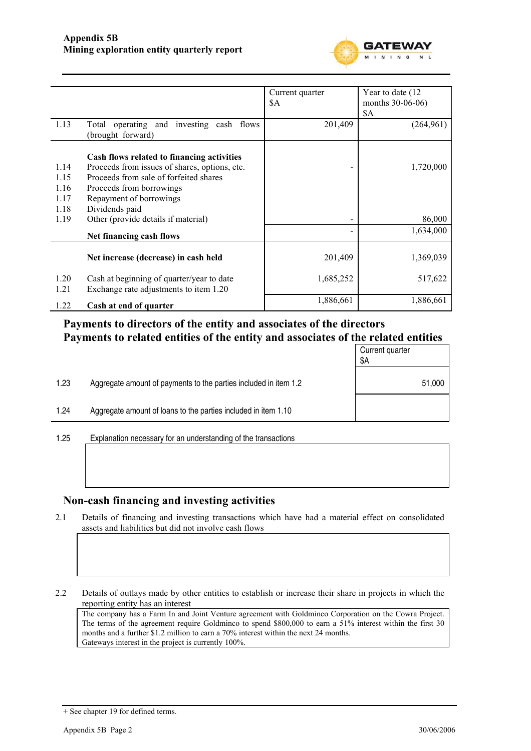

|              |                                                                                     | Current quarter | Year to date (12) |
|--------------|-------------------------------------------------------------------------------------|-----------------|-------------------|
|              |                                                                                     | \$A             | months 30-06-06)  |
|              |                                                                                     |                 | \$A               |
| 1.13         | Total operating and investing cash flows<br>(brought forward)                       | 201,409         | (264, 961)        |
|              | Cash flows related to financing activities                                          |                 |                   |
| 1.14         | Proceeds from issues of shares, options, etc.                                       |                 | 1,720,000         |
| 1.15         | Proceeds from sale of forfeited shares                                              |                 |                   |
| 1.16         | Proceeds from borrowings                                                            |                 |                   |
| 1.17         | Repayment of borrowings                                                             |                 |                   |
| 1.18         | Dividends paid                                                                      |                 |                   |
| 1.19         | Other (provide details if material)                                                 |                 | 86,000            |
|              | Net financing cash flows                                                            |                 | 1,634,000         |
|              | Net increase (decrease) in cash held                                                | 201,409         | 1,369,039         |
| 1.20<br>1.21 | Cash at beginning of quarter/year to date<br>Exchange rate adjustments to item 1.20 | 1,685,252       | 517,622           |
| 1.22         | Cash at end of quarter                                                              | 1,886,661       | 1,886,661         |

#### **Payments to directors of the entity and associates of the directors Payments to related entities of the entity and associates of the related entities**

|      |                                                                  | Current quarter<br>\$Α |
|------|------------------------------------------------------------------|------------------------|
| 1.23 | Aggregate amount of payments to the parties included in item 1.2 | 51,000                 |
| 1.24 | Aggregate amount of loans to the parties included in item 1.10   |                        |
|      |                                                                  |                        |

1.25 Explanation necessary for an understanding of the transactions

#### **Non-cash financing and investing activities**

2.1 Details of financing and investing transactions which have had a material effect on consolidated assets and liabilities but did not involve cash flows

2.2 Details of outlays made by other entities to establish or increase their share in projects in which the reporting entity has an interest

The company has a Farm In and Joint Venture agreement with Goldminco Corporation on the Cowra Project. The terms of the agreement require Goldminco to spend \$800,000 to earn a 51% interest within the first 30 months and a further \$1.2 million to earn a 70% interest within the next 24 months. Gateways interest in the project is currently 100%.

<sup>+</sup> See chapter 19 for defined terms.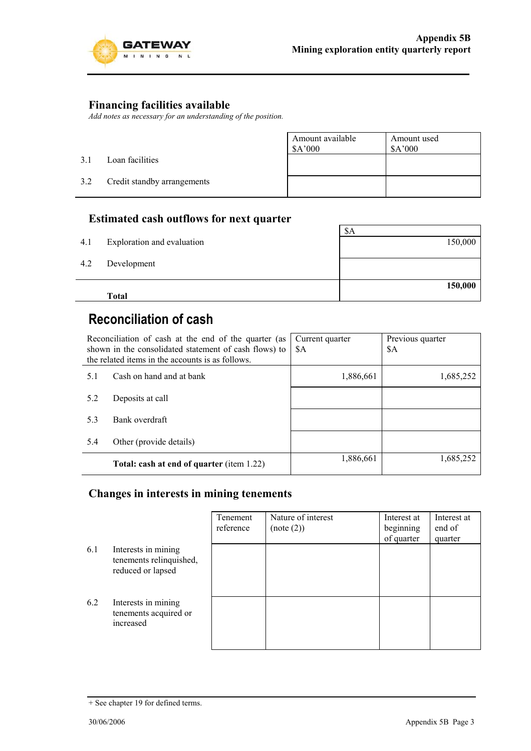

#### **Financing facilities available**

*Add notes as necessary for an understanding of the position.* 

- 3.1 Loan facilities
- 3.2 Credit standby arrangements

| Amount available<br>\$A'000 | Amount used<br>\$A'000 |  |
|-----------------------------|------------------------|--|
|                             |                        |  |
|                             |                        |  |

#### **Estimated cash outflows for next quarter**

|     | <b>Total</b>               | 150,000 |
|-----|----------------------------|---------|
| 4.2 | Development                |         |
| 4.1 | Exploration and evaluation | 150,000 |
|     |                            | \$Α     |

## **Reconciliation of cash**

| Reconciliation of cash at the end of the quarter (as<br>shown in the consolidated statement of cash flows) to<br>the related items in the accounts is as follows. |                                                  | Current quarter<br>\$A | Previous quarter<br>\$A |
|-------------------------------------------------------------------------------------------------------------------------------------------------------------------|--------------------------------------------------|------------------------|-------------------------|
| 5.1                                                                                                                                                               | Cash on hand and at bank                         | 1,886,661              | 1,685,252               |
| 5.2                                                                                                                                                               | Deposits at call                                 |                        |                         |
| 5.3                                                                                                                                                               | Bank overdraft                                   |                        |                         |
| 5.4                                                                                                                                                               | Other (provide details)                          |                        |                         |
|                                                                                                                                                                   | <b>Total: cash at end of quarter (item 1.22)</b> | 1,886,661              | 1,685,252               |

#### **Changes in interests in mining tenements**

|     |                                                                     | Tenement<br>reference | Nature of interest<br>(note (2)) | Interest at<br>beginning<br>of quarter | Interest at<br>end of<br>quarter |
|-----|---------------------------------------------------------------------|-----------------------|----------------------------------|----------------------------------------|----------------------------------|
| 6.1 | Interests in mining<br>tenements relinquished,<br>reduced or lapsed |                       |                                  |                                        |                                  |
| 6.2 | Interests in mining<br>tenements acquired or<br>increased           |                       |                                  |                                        |                                  |

<sup>+</sup> See chapter 19 for defined terms.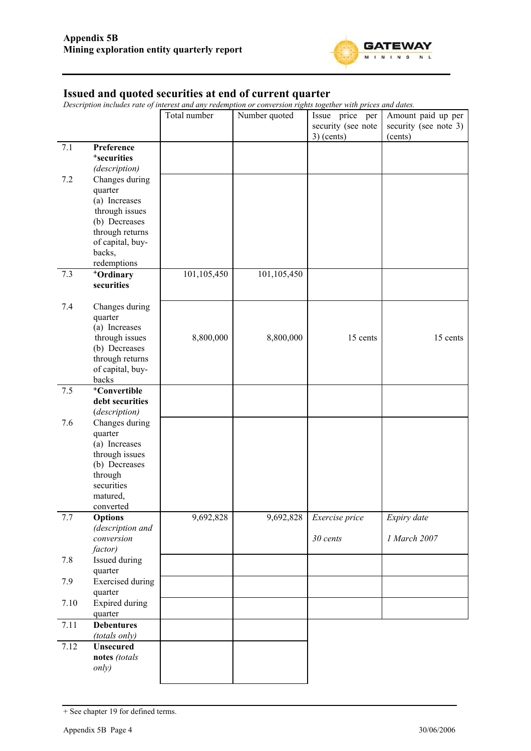

#### **Issued and quoted securities at end of current quarter**

*Description includes rate of interest and any redemption or conversion rights together with prices and dates.* 

|         |                                                                                                                                                  | Total number | Number quoted | Issue price per<br>security (see note<br>$3)$ (cents) | Amount paid up per<br>security (see note 3)<br>(cents) |
|---------|--------------------------------------------------------------------------------------------------------------------------------------------------|--------------|---------------|-------------------------------------------------------|--------------------------------------------------------|
| 7.1     | Preference<br><sup>+</sup> securities<br>(description)                                                                                           |              |               |                                                       |                                                        |
| 7.2     | Changes during<br>quarter<br>(a) Increases<br>through issues<br>(b) Decreases<br>through returns<br>of capital, buy-<br>backs,<br>redemptions    |              |               |                                                       |                                                        |
| 7.3     | +Ordinary<br>securities                                                                                                                          | 101,105,450  | 101,105,450   |                                                       |                                                        |
| 7.4     | Changes during<br>quarter<br>(a) Increases<br>through issues<br>(b) Decreases<br>through returns<br>of capital, buy-<br>backs                    | 8,800,000    | 8,800,000     | 15 cents                                              | 15 cents                                               |
| 7.5     | <sup>+</sup> Convertible<br>debt securities                                                                                                      |              |               |                                                       |                                                        |
| 7.6     | (description)<br>Changes during<br>quarter<br>(a) Increases<br>through issues<br>(b) Decreases<br>through<br>securities<br>matured,<br>converted |              |               |                                                       |                                                        |
| $7.7\,$ | <b>Options</b><br>(description and<br>conversion                                                                                                 | 9,692,828    | 9,692,828     | Exercise price<br>30 cents                            | Expiry date<br>1 March 2007                            |
| 7.8     | factor)<br>Issued during                                                                                                                         |              |               |                                                       |                                                        |
| 7.9     | quarter<br><b>Exercised</b> during<br>quarter                                                                                                    |              |               |                                                       |                                                        |
| 7.10    | <b>Expired during</b><br>quarter                                                                                                                 |              |               |                                                       |                                                        |
| 7.11    | <b>Debentures</b><br>(totals only)                                                                                                               |              |               |                                                       |                                                        |
| 7.12    | <b>Unsecured</b><br>notes (totals<br>only)                                                                                                       |              |               |                                                       |                                                        |

<sup>+</sup> See chapter 19 for defined terms.